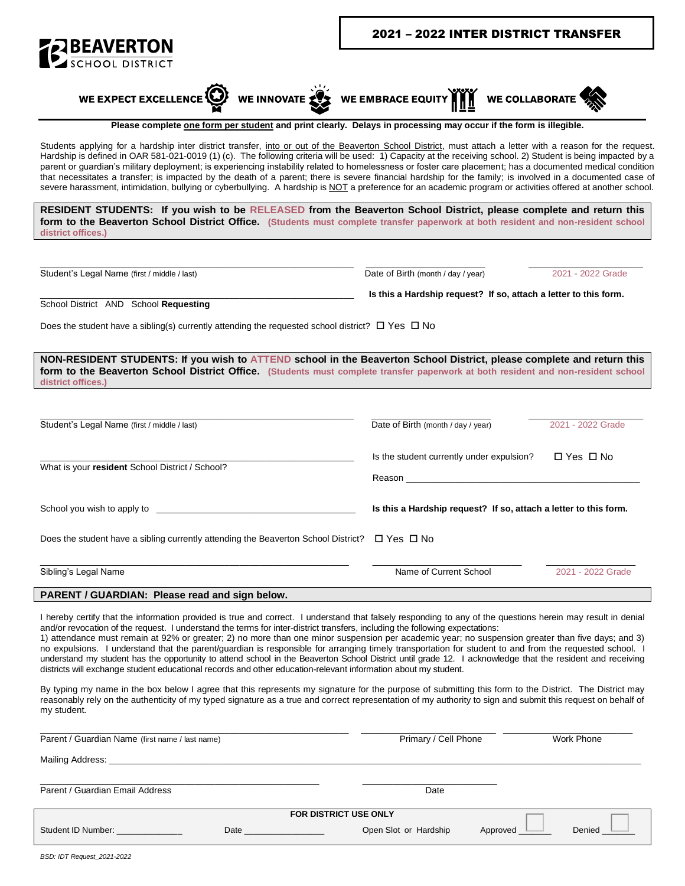





Please complete one form per student and print clearly. Delays in processing may occur if the form is illegible.

Students applying for a hardship inter district transfer, into or out of the Beaverton School District, must attach a letter with a reason for the request. Hardship is defined in OAR 581-021-0019 (1) (c). The following criteria will be used: 1) Capacity at the receiving school. 2) Student is being impacted by a parent or guardian's military deployment; is experiencing instability related to homelessness or foster care placement; has a documented medical condition that necessitates a transfer; is impacted by the death of a parent; there is severe financial hardship for the family; is involved in a documented case of severe harassment, intimidation, bullying or cyberbullying. A hardship is NOT a preference for an academic program or activities offered at another school.

RESIDENT STUDENTS: If you wish to be RELEASED from the Beaverton School District, please complete and return this form to the Beaverton School District Office. (Students must complete transfer paperwork at both resident and non-resident school district offices.)

Student's Legal Name (first / middle / last)

Date of Birth (month / day / year)

2021 - 2022 Grade

Is this a Hardship request? If so, attach a letter to this form.

School District AND School Requesting

Does the student have a sibling(s) currently attending the requested school district?  $\Box$  Yes  $\Box$  No

NON-RESIDENT STUDENTS: If you wish to ATTEND school in the Beaverton School District, please complete and return this form to the Beaverton School District Office. (Students must complete transfer paperwork at both resident and non-resident school district offices.)

| Does the student have a sibling currently attending the Beaverton School District? $\square$ Yes $\square$ No                                                                                                                  |                                                                  |                      |  |
|--------------------------------------------------------------------------------------------------------------------------------------------------------------------------------------------------------------------------------|------------------------------------------------------------------|----------------------|--|
|                                                                                                                                                                                                                                |                                                                  |                      |  |
| School you wish to apply to service and the service of the service of the service of the service of the service of the service of the service of the service of the service of the service of the service of the service of th | Is this a Hardship request? If so, attach a letter to this form. |                      |  |
| What is your resident School District / School?                                                                                                                                                                                | Reason <b>Reason</b>                                             |                      |  |
|                                                                                                                                                                                                                                | Is the student currently under expulsion?                        | $\Box$ Yes $\Box$ No |  |
| Student's Legal Name (first / middle / last)                                                                                                                                                                                   | Date of Birth (month / day / year)                               | 2021 - 2022 Grade    |  |

I hereby certify that the information provided is true and correct. I understand that falsely responding to any of the questions herein may result in denial and/or revocation of the request. I understand the terms for inter-district transfers, including the following expectations:

1) attendance must remain at 92% or greater; 2) no more than one minor suspension per academic year; no suspension greater than five days; and 3) no expulsions. I understand that the parent/guardian is responsible for arranging timely transportation for student to and from the requested school. I understand my student has the opportunity to attend school in the Beaverton School District until grade 12. I acknowledge that the resident and receiving districts will exchange student educational records and other education-relevant information about my student.

By typing my name in the box below I agree that this represents my signature for the purpose of submitting this form to the District. The District may reasonably rely on the authenticity of my typed signature as a true and correct representation of my authority to sign and submit this request on behalf of my student.

| Parent / Guardian Name (first name / last name)                                                                                                                                                                                |      | Primary / Cell Phone  |          | Work Phone |  |
|--------------------------------------------------------------------------------------------------------------------------------------------------------------------------------------------------------------------------------|------|-----------------------|----------|------------|--|
| Mailing Address: National Address: National Address: National Address: National Address: National Address: National Address: National Address: National Address: National Address: National Address: National Address: Nationa |      |                       |          |            |  |
| Parent / Guardian Email Address                                                                                                                                                                                                |      | Date                  |          |            |  |
| <b>FOR DISTRICT USE ONLY</b>                                                                                                                                                                                                   |      |                       |          |            |  |
| Student ID Number:                                                                                                                                                                                                             | Date | Open Slot or Hardship | Approved | Denied     |  |